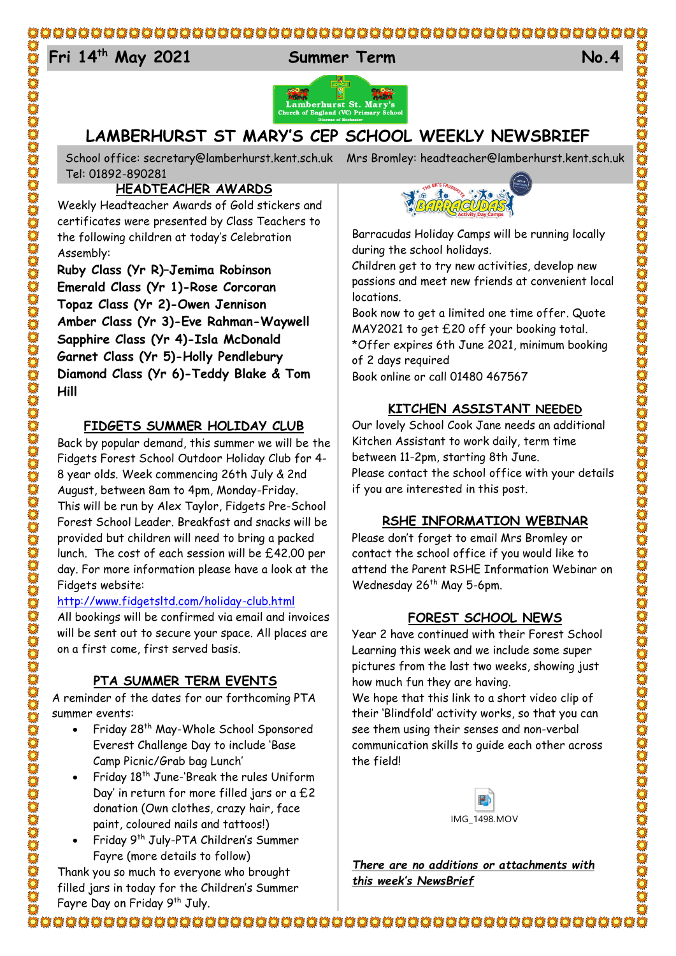## 

# 24 **Fri 14th May 2021 Summer Term No.4**



CENTA CENTA CENTA CENTA CENTA CENTA CENTA CENTA CENTA CENTA CENTA CENTA CENTA CENTA CENTA CENTA CENTA CENTA CEN



## **LAMBERHURST ST MARY'S CEP SCHOOL WEEKLY NEWSBRIEF**

School office: [secretary@lamberhurst.kent.sch.uk](mailto:secretary@lamberhurst.kent.sch.uk) Mrs Bromley: headteacher@lamberhurst.kent.sch.uk Tel: 01892-890281

### **HEADTEACHER AWARDS**

Weekly Headteacher Awards of Gold stickers and certificates were presented by Class Teachers to the following children at today's Celebration Assembly:

**Ruby Class (Yr R)–Jemima Robinson Emerald Class (Yr 1)-Rose Corcoran Topaz Class (Yr 2)-Owen Jennison Amber Class (Yr 3)-Eve Rahman-Waywell Sapphire Class (Yr 4)-Isla McDonald Garnet Class (Yr 5)-Holly Pendlebury Diamond Class (Yr 6)-Teddy Blake & Tom Hill**

#### **FIDGETS SUMMER HOLIDAY CLUB**

Back by popular demand, this summer we will be the Fidgets Forest School Outdoor Holiday Club for 4- 8 year olds. Week commencing 26th July & 2nd August, between 8am to 4pm, Monday-Friday. This will be run by Alex Taylor, Fidgets Pre-School Forest School Leader. Breakfast and snacks will be provided but children will need to bring a packed lunch. The cost of each session will be £42.00 per day. For more information please have a look at the Fidgets website:

#### <http://www.fidgetsltd.com/holiday-club.html>

All bookings will be confirmed via email and invoices will be sent out to secure your space. All places are on a first come, first served basis.

## **PTA SUMMER TERM EVENTS**

A reminder of the dates for our forthcoming PTA summer events:

- Friday 28th May-Whole School Sponsored Everest Challenge Day to include 'Base Camp Picnic/Grab bag Lunch'
- Friday 18<sup>th</sup> June-'Break the rules Uniform Day' in return for more filled jars or a £2 donation (Own clothes, crazy hair, face paint, coloured nails and tattoos!)
- Friday 9th July-PTA Children's Summer Fayre (more details to follow)

Thank you so much to everyone who brought filled jars in today for the Children's Summer Fayre Day on Friday 9<sup>th</sup> July.



Barracudas Holiday Camps will be running locally during the school holidays.

Children get to try new activities, develop new passions and meet new friends at convenient local locations.

Book now to get a limited one time offer. Quote MAY2021 to get £20 off your booking total. \*Offer expires 6th June 2021, minimum booking of 2 days required

Book online or call 01480 467567

## **KITCHEN ASSISTANT NEEDED**

Our lovely School Cook Jane needs an additional Kitchen Assistant to work daily, term time between 11-2pm, starting 8th June. Please contact the school office with your details if you are interested in this post.

## **RSHE INFORMATION WEBINAR**

Please don't forget to email Mrs Bromley or contact the school office if you would like to attend the Parent RSHE Information Webinar on Wednesday 26<sup>th</sup> May 5-6pm.

## **FOREST SCHOOL NEWS**

Year 2 have continued with their Forest School Learning this week and we include some super pictures from the last two weeks, showing just how much fun they are having.

We hope that this link to a short video clip of their 'Blindfold' activity works, so that you can see them using their senses and non-verbal communication skills to guide each other across the field!



*There are no additions or attachments with this week's NewsBrief*